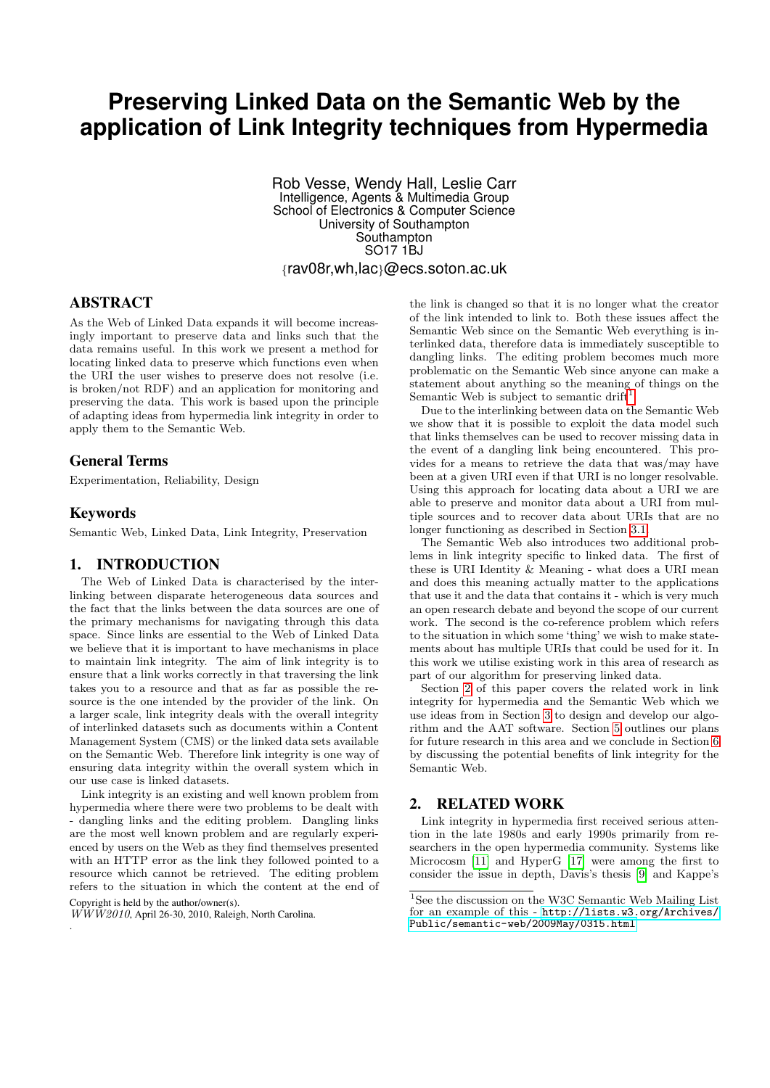# **Preserving Linked Data on the Semantic Web by the application of Link Integrity techniques from Hypermedia**

Rob Vesse, Wendy Hall, Leslie Carr Intelligence, Agents & Multimedia Group School of Electronics & Computer Science University of Southampton **Southampton** SO17 1BJ {rav08r,wh,lac}@ecs.soton.ac.uk

# ABSTRACT

As the Web of Linked Data expands it will become increasingly important to preserve data and links such that the data remains useful. In this work we present a method for locating linked data to preserve which functions even when the URI the user wishes to preserve does not resolve (i.e. is broken/not RDF) and an application for monitoring and preserving the data. This work is based upon the principle of adapting ideas from hypermedia link integrity in order to apply them to the Semantic Web.

# General Terms

Experimentation, Reliability, Design

## Keywords

Semantic Web, Linked Data, Link Integrity, Preservation

# 1. INTRODUCTION

The Web of Linked Data is characterised by the interlinking between disparate heterogeneous data sources and the fact that the links between the data sources are one of the primary mechanisms for navigating through this data space. Since links are essential to the Web of Linked Data we believe that it is important to have mechanisms in place to maintain link integrity. The aim of link integrity is to ensure that a link works correctly in that traversing the link takes you to a resource and that as far as possible the resource is the one intended by the provider of the link. On a larger scale, link integrity deals with the overall integrity of interlinked datasets such as documents within a Content Management System (CMS) or the linked data sets available on the Semantic Web. Therefore link integrity is one way of ensuring data integrity within the overall system which in our use case is linked datasets.

Link integrity is an existing and well known problem from hypermedia where there were two problems to be dealt with - dangling links and the editing problem. Dangling links are the most well known problem and are regularly experienced by users on the Web as they find themselves presented with an HTTP error as the link they followed pointed to a resource which cannot be retrieved. The editing problem refers to the situation in which the content at the end of

 $\overline{WWW2010}$ , April 26-30, 2010, Raleigh, North Carolina. .

the link is changed so that it is no longer what the creator of the link intended to link to. Both these issues affect the Semantic Web since on the Semantic Web everything is interlinked data, therefore data is immediately susceptible to dangling links. The editing problem becomes much more problematic on the Semantic Web since anyone can make a statement about anything so the meaning of things on the Semantic Web is subject to semantic drift<sup>[1](#page-0-0)</sup>.

Due to the interlinking between data on the Semantic Web we show that it is possible to exploit the data model such that links themselves can be used to recover missing data in the event of a dangling link being encountered. This provides for a means to retrieve the data that was/may have been at a given URI even if that URI is no longer resolvable. Using this approach for locating data about a URI we are able to preserve and monitor data about a URI from multiple sources and to recover data about URIs that are no longer functioning as described in Section [3.1.](#page-2-0)

The Semantic Web also introduces two additional problems in link integrity specific to linked data. The first of these is URI Identity & Meaning - what does a URI mean and does this meaning actually matter to the applications that use it and the data that contains it - which is very much an open research debate and beyond the scope of our current work. The second is the co-reference problem which refers to the situation in which some 'thing' we wish to make statements about has multiple URIs that could be used for it. In this work we utilise existing work in this area of research as part of our algorithm for preserving linked data.

Section [2](#page-0-1) of this paper covers the related work in link integrity for hypermedia and the Semantic Web which we use ideas from in Section [3](#page-2-1) to design and develop our algorithm and the AAT software. Section [5](#page-8-0) outlines our plans for future research in this area and we conclude in Section [6](#page-8-1) by discussing the potential benefits of link integrity for the Semantic Web.

## <span id="page-0-1"></span>2. RELATED WORK

Link integrity in hypermedia first received serious attention in the late 1980s and early 1990s primarily from researchers in the open hypermedia community. Systems like Microcosm [\[11\]](#page-9-0) and HyperG [\[17\]](#page-9-1) were among the first to consider the issue in depth, Davis's thesis [\[9\]](#page-9-2) and Kappe's

Copyright is held by the author/owner(s).

<span id="page-0-0"></span><sup>&</sup>lt;sup>1</sup>See the discussion on the W3C Semantic Web Mailing List for an example of this - [http://lists.w3.org/Archives/](http://lists.w3.org/Archives/Public/semantic-web/2009May/0315.html) [Public/semantic-web/2009May/0315.html](http://lists.w3.org/Archives/Public/semantic-web/2009May/0315.html)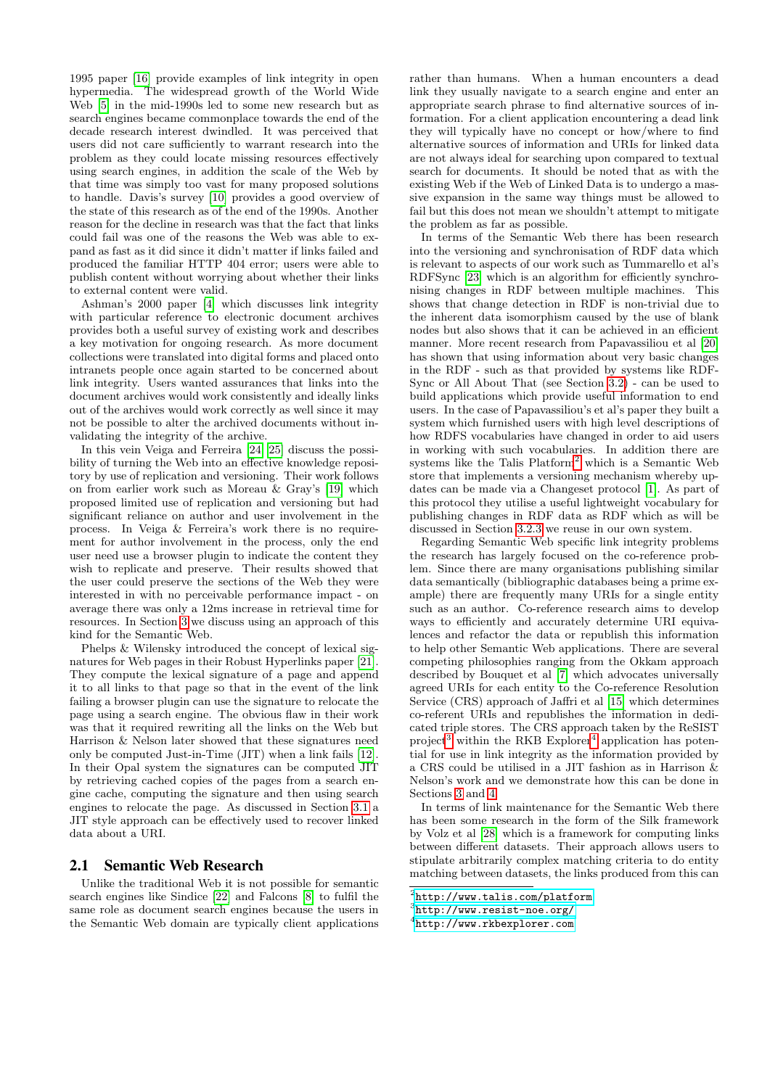1995 paper [\[16\]](#page-9-3) provide examples of link integrity in open hypermedia. The widespread growth of the World Wide Web [\[5\]](#page-9-4) in the mid-1990s led to some new research but as search engines became commonplace towards the end of the decade research interest dwindled. It was perceived that users did not care sufficiently to warrant research into the problem as they could locate missing resources effectively using search engines, in addition the scale of the Web by that time was simply too vast for many proposed solutions to handle. Davis's survey [\[10\]](#page-9-5) provides a good overview of the state of this research as of the end of the 1990s. Another reason for the decline in research was that the fact that links could fail was one of the reasons the Web was able to expand as fast as it did since it didn't matter if links failed and produced the familiar HTTP 404 error; users were able to publish content without worrying about whether their links to external content were valid.

Ashman's 2000 paper [\[4\]](#page-9-6) which discusses link integrity with particular reference to electronic document archives provides both a useful survey of existing work and describes a key motivation for ongoing research. As more document collections were translated into digital forms and placed onto intranets people once again started to be concerned about link integrity. Users wanted assurances that links into the document archives would work consistently and ideally links out of the archives would work correctly as well since it may not be possible to alter the archived documents without invalidating the integrity of the archive.

In this vein Veiga and Ferreira [\[24,](#page-9-7) [25\]](#page-9-8) discuss the possibility of turning the Web into an effective knowledge repository by use of replication and versioning. Their work follows on from earlier work such as Moreau & Gray's [\[19\]](#page-9-9) which proposed limited use of replication and versioning but had significant reliance on author and user involvement in the process. In Veiga & Ferreira's work there is no requirement for author involvement in the process, only the end user need use a browser plugin to indicate the content they wish to replicate and preserve. Their results showed that the user could preserve the sections of the Web they were interested in with no perceivable performance impact - on average there was only a 12ms increase in retrieval time for resources. In Section [3](#page-2-1) we discuss using an approach of this kind for the Semantic Web.

Phelps & Wilensky introduced the concept of lexical signatures for Web pages in their Robust Hyperlinks paper [\[21\]](#page-9-10). They compute the lexical signature of a page and append it to all links to that page so that in the event of the link failing a browser plugin can use the signature to relocate the page using a search engine. The obvious flaw in their work was that it required rewriting all the links on the Web but Harrison & Nelson later showed that these signatures need only be computed Just-in-Time (JIT) when a link fails [\[12\]](#page-9-11). In their Opal system the signatures can be computed JIT by retrieving cached copies of the pages from a search engine cache, computing the signature and then using search engines to relocate the page. As discussed in Section [3.1](#page-2-0) a JIT style approach can be effectively used to recover linked data about a URI.

## 2.1 Semantic Web Research

Unlike the traditional Web it is not possible for semantic search engines like Sindice [\[22\]](#page-9-12) and Falcons [\[8\]](#page-9-13) to fulfil the same role as document search engines because the users in the Semantic Web domain are typically client applications

rather than humans. When a human encounters a dead link they usually navigate to a search engine and enter an appropriate search phrase to find alternative sources of information. For a client application encountering a dead link they will typically have no concept or how/where to find alternative sources of information and URIs for linked data are not always ideal for searching upon compared to textual search for documents. It should be noted that as with the existing Web if the Web of Linked Data is to undergo a massive expansion in the same way things must be allowed to fail but this does not mean we shouldn't attempt to mitigate the problem as far as possible.

In terms of the Semantic Web there has been research into the versioning and synchronisation of RDF data which is relevant to aspects of our work such as Tummarello et al's RDFSync [\[23\]](#page-9-14) which is an algorithm for efficiently synchronising changes in RDF between multiple machines. This shows that change detection in RDF is non-trivial due to the inherent data isomorphism caused by the use of blank nodes but also shows that it can be achieved in an efficient manner. More recent research from Papavassiliou et al [\[20\]](#page-9-15) has shown that using information about very basic changes in the RDF - such as that provided by systems like RDF-Sync or All About That (see Section [3.2\)](#page-3-0) - can be used to build applications which provide useful information to end users. In the case of Papavassiliou's et al's paper they built a system which furnished users with high level descriptions of how RDFS vocabularies have changed in order to aid users in working with such vocabularies. In addition there are systems like the Talis Platform[2](#page-1-0) which is a Semantic Web store that implements a versioning mechanism whereby updates can be made via a Changeset protocol [\[1\]](#page-8-2). As part of this protocol they utilise a useful lightweight vocabulary for publishing changes in RDF data as RDF which as will be discussed in Section [3.2.3](#page-4-0) we reuse in our own system.

Regarding Semantic Web specific link integrity problems the research has largely focused on the co-reference problem. Since there are many organisations publishing similar data semantically (bibliographic databases being a prime example) there are frequently many URIs for a single entity such as an author. Co-reference research aims to develop ways to efficiently and accurately determine URI equivalences and refactor the data or republish this information to help other Semantic Web applications. There are several competing philosophies ranging from the Okkam approach described by Bouquet et al [\[7\]](#page-9-16) which advocates universally agreed URIs for each entity to the Co-reference Resolution Service (CRS) approach of Jaffri et al [\[15\]](#page-9-17) which determines co-referent URIs and republishes the information in dedicated triple stores. The CRS approach taken by the ReSIST project<sup>[3](#page-1-1)</sup> within the RKB  $Explorer<sup>4</sup>$  $Explorer<sup>4</sup>$  $Explorer<sup>4</sup>$  application has potential for use in link integrity as the information provided by a CRS could be utilised in a JIT fashion as in Harrison & Nelson's work and we demonstrate how this can be done in Sections [3](#page-2-1) and [4.](#page-5-0)

In terms of link maintenance for the Semantic Web there has been some research in the form of the Silk framework by Volz et al [\[28\]](#page-9-18) which is a framework for computing links between different datasets. Their approach allows users to stipulate arbitrarily complex matching criteria to do entity matching between datasets, the links produced from this can

<span id="page-1-0"></span><sup>2</sup> <http://www.talis.com/platform>

<span id="page-1-1"></span><sup>3</sup> <http://www.resist-noe.org/>

<span id="page-1-2"></span><sup>4</sup> <http://www.rkbexplorer.com>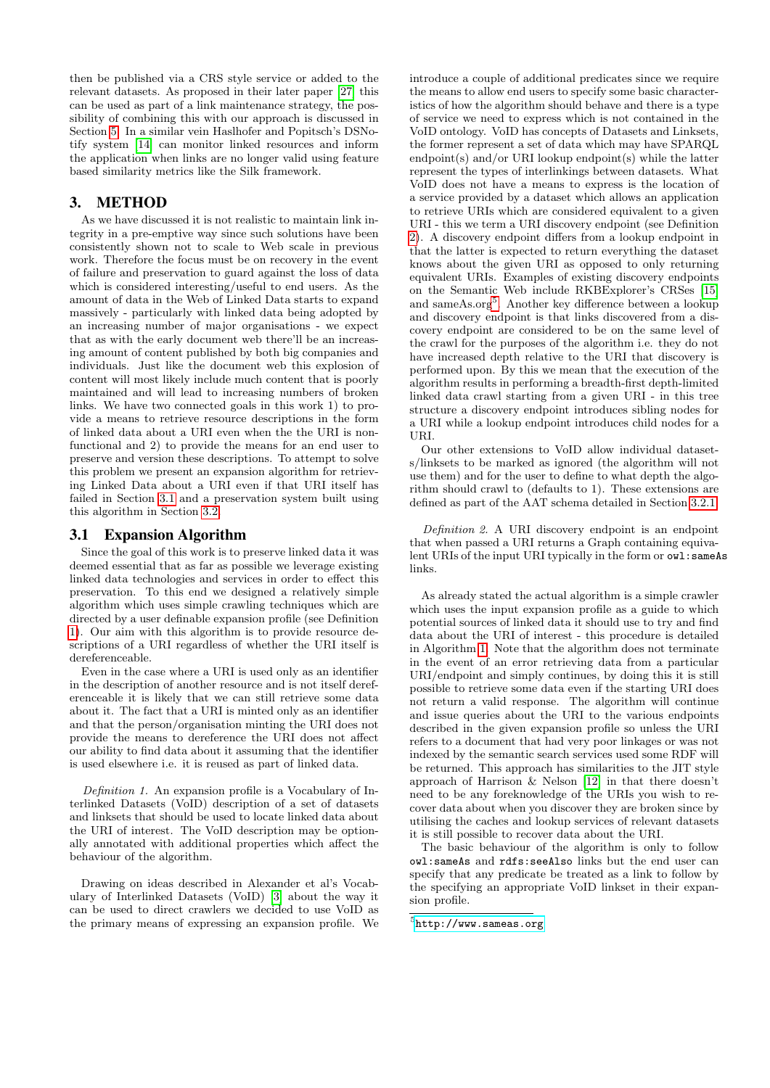then be published via a CRS style service or added to the relevant datasets. As proposed in their later paper [\[27\]](#page-9-19) this can be used as part of a link maintenance strategy, the possibility of combining this with our approach is discussed in Section [5.](#page-8-0) In a similar vein Haslhofer and Popitsch's DSNotify system [\[14\]](#page-9-20) can monitor linked resources and inform the application when links are no longer valid using feature based similarity metrics like the Silk framework.

# <span id="page-2-1"></span>3. METHOD

As we have discussed it is not realistic to maintain link integrity in a pre-emptive way since such solutions have been consistently shown not to scale to Web scale in previous work. Therefore the focus must be on recovery in the event of failure and preservation to guard against the loss of data which is considered interesting/useful to end users. As the amount of data in the Web of Linked Data starts to expand massively - particularly with linked data being adopted by an increasing number of major organisations - we expect that as with the early document web there'll be an increasing amount of content published by both big companies and individuals. Just like the document web this explosion of content will most likely include much content that is poorly maintained and will lead to increasing numbers of broken links. We have two connected goals in this work 1) to provide a means to retrieve resource descriptions in the form of linked data about a URI even when the the URI is nonfunctional and 2) to provide the means for an end user to preserve and version these descriptions. To attempt to solve this problem we present an expansion algorithm for retrieving Linked Data about a URI even if that URI itself has failed in Section [3.1](#page-2-0) and a preservation system built using this algorithm in Section [3.2.](#page-3-0)

# <span id="page-2-0"></span>3.1 Expansion Algorithm

Since the goal of this work is to preserve linked data it was deemed essential that as far as possible we leverage existing linked data technologies and services in order to effect this preservation. To this end we designed a relatively simple algorithm which uses simple crawling techniques which are directed by a user definable expansion profile (see Definition [1\)](#page-2-2). Our aim with this algorithm is to provide resource descriptions of a URI regardless of whether the URI itself is dereferenceable.

Even in the case where a URI is used only as an identifier in the description of another resource and is not itself dereferenceable it is likely that we can still retrieve some data about it. The fact that a URI is minted only as an identifier and that the person/organisation minting the URI does not provide the means to dereference the URI does not affect our ability to find data about it assuming that the identifier is used elsewhere i.e. it is reused as part of linked data.

<span id="page-2-2"></span>Definition 1. An expansion profile is a Vocabulary of Interlinked Datasets (VoID) description of a set of datasets and linksets that should be used to locate linked data about the URI of interest. The VoID description may be optionally annotated with additional properties which affect the behaviour of the algorithm.

Drawing on ideas described in Alexander et al's Vocabulary of Interlinked Datasets (VoID) [\[3\]](#page-9-21) about the way it can be used to direct crawlers we decided to use VoID as the primary means of expressing an expansion profile. We introduce a couple of additional predicates since we require the means to allow end users to specify some basic characteristics of how the algorithm should behave and there is a type of service we need to express which is not contained in the VoID ontology. VoID has concepts of Datasets and Linksets, the former represent a set of data which may have SPARQL endpoint(s) and/or URI lookup endpoint(s) while the latter represent the types of interlinkings between datasets. What VoID does not have a means to express is the location of a service provided by a dataset which allows an application to retrieve URIs which are considered equivalent to a given URI - this we term a URI discovery endpoint (see Definition [2\)](#page-2-3). A discovery endpoint differs from a lookup endpoint in that the latter is expected to return everything the dataset knows about the given URI as opposed to only returning equivalent URIs. Examples of existing discovery endpoints on the Semantic Web include RKBExplorer's CRSes [\[15\]](#page-9-17) and sameAs.org[5](#page-2-4) . Another key difference between a lookup and discovery endpoint is that links discovered from a discovery endpoint are considered to be on the same level of the crawl for the purposes of the algorithm i.e. they do not have increased depth relative to the URI that discovery is performed upon. By this we mean that the execution of the algorithm results in performing a breadth-first depth-limited linked data crawl starting from a given URI - in this tree structure a discovery endpoint introduces sibling nodes for a URI while a lookup endpoint introduces child nodes for a URI.

Our other extensions to VoID allow individual datasets/linksets to be marked as ignored (the algorithm will not use them) and for the user to define to what depth the algorithm should crawl to (defaults to 1). These extensions are defined as part of the AAT schema detailed in Section [3.2.1.](#page-3-1)

<span id="page-2-3"></span>Definition 2. A URI discovery endpoint is an endpoint that when passed a URI returns a Graph containing equivalent URIs of the input URI typically in the form or owl:sameAs links.

As already stated the actual algorithm is a simple crawler which uses the input expansion profile as a guide to which potential sources of linked data it should use to try and find data about the URI of interest - this procedure is detailed in Algorithm [1.](#page-3-2) Note that the algorithm does not terminate in the event of an error retrieving data from a particular URI/endpoint and simply continues, by doing this it is still possible to retrieve some data even if the starting URI does not return a valid response. The algorithm will continue and issue queries about the URI to the various endpoints described in the given expansion profile so unless the URI refers to a document that had very poor linkages or was not indexed by the semantic search services used some RDF will be returned. This approach has similarities to the JIT style approach of Harrison & Nelson [\[12\]](#page-9-11) in that there doesn't need to be any foreknowledge of the URIs you wish to recover data about when you discover they are broken since by utilising the caches and lookup services of relevant datasets it is still possible to recover data about the URI.

The basic behaviour of the algorithm is only to follow owl:sameAs and rdfs:seeAlso links but the end user can specify that any predicate be treated as a link to follow by the specifying an appropriate VoID linkset in their expansion profile.

<span id="page-2-4"></span> $5$ <http://www.sameas.org>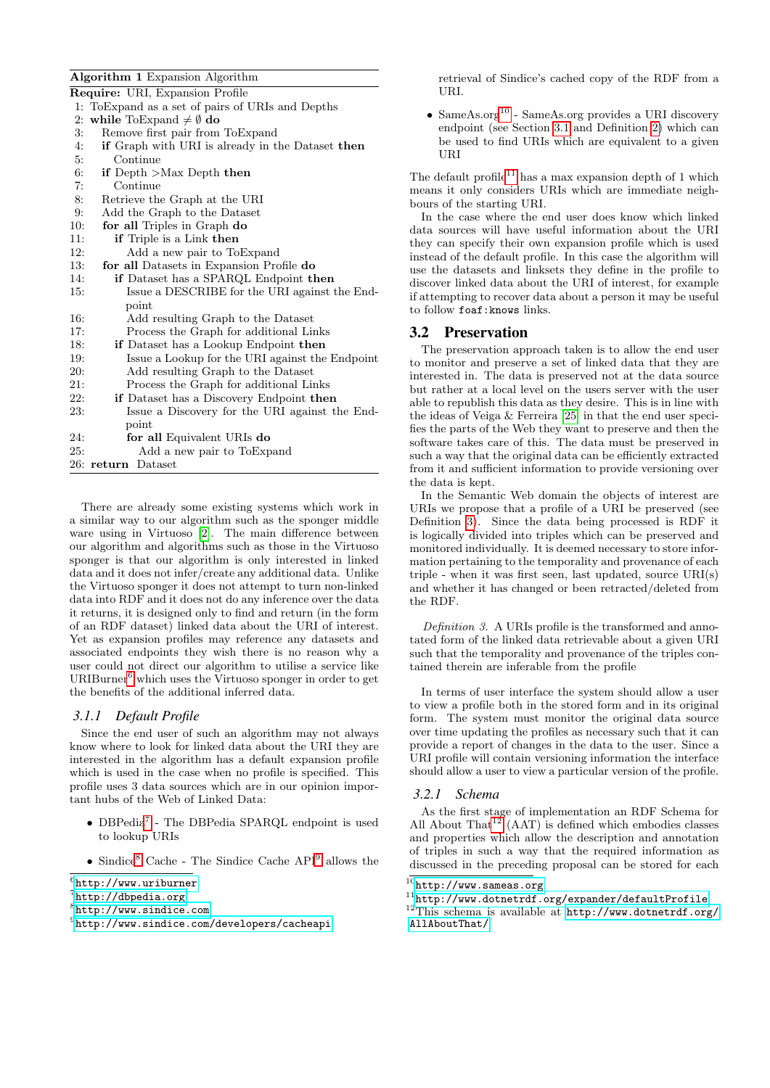## Algorithm 1 Expansion Algorithm

<span id="page-3-2"></span>

| <b>Require:</b> URI, Expansion Profile                        |
|---------------------------------------------------------------|
| 1: To Expand as a set of pairs of URIs and Depths             |
| 2: while ToExpand $\neq \emptyset$ do                         |
| Remove first pair from ToExpand<br>3:                         |
| 4:<br><b>if</b> Graph with URI is already in the Dataset then |
| 5:<br>Continue                                                |
| 6:<br>if Depth $>Max$ Depth then                              |
| Continue<br>7:                                                |
| 8:<br>Retrieve the Graph at the URI                           |
| 9:<br>Add the Graph to the Dataset                            |
| for all Triples in Graph do<br>10:                            |
| 11:<br><b>if</b> Triple is a Link then                        |
| 12:<br>Add a new pair to ToExpand                             |
| 13:<br>for all Datasets in Expansion Profile do               |
| 14:<br>if Dataset has a SPARQL Endpoint then                  |
| Issue a DESCRIBE for the URI against the End-<br>15:          |
| point                                                         |
| 16:<br>Add resulting Graph to the Dataset                     |
| Process the Graph for additional Links<br>17:                 |
| 18:<br><b>if</b> Dataset has a Lookup Endpoint then           |
| Issue a Lookup for the URI against the Endpoint<br>19:        |
| 20:<br>Add resulting Graph to the Dataset                     |
| 21:<br>Process the Graph for additional Links                 |
| 22:<br>if Dataset has a Discovery Endpoint then               |
| 23:<br>Issue a Discovery for the URI against the End-         |
| point                                                         |
| for all Equivalent URIs do<br>24:                             |
| 25:<br>Add a new pair to ToExpand                             |
| 26: return Dataset                                            |

There are already some existing systems which work in a similar way to our algorithm such as the sponger middle ware using in Virtuoso [\[2\]](#page-9-22). The main difference between our algorithm and algorithms such as those in the Virtuoso sponger is that our algorithm is only interested in linked data and it does not infer/create any additional data. Unlike the Virtuoso sponger it does not attempt to turn non-linked data into RDF and it does not do any inference over the data it returns, it is designed only to find and return (in the form of an RDF dataset) linked data about the URI of interest. Yet as expansion profiles may reference any datasets and associated endpoints they wish there is no reason why a user could not direct our algorithm to utilise a service like URIBurner[6](#page-3-3) which uses the Virtuoso sponger in order to get the benefits of the additional inferred data.

# <span id="page-3-11"></span>*3.1.1 Default Profile*

Since the end user of such an algorithm may not always know where to look for linked data about the URI they are interested in the algorithm has a default expansion profile which is used in the case when no profile is specified. This profile uses 3 data sources which are in our opinion important hubs of the Web of Linked Data:

- DBPedia[7](#page-3-4) The DBPedia SPARQL endpoint is used to lookup URIs
- Sindice<sup>[8](#page-3-5)</sup> Cache The Sindice Cache  $API<sup>9</sup>$  $API<sup>9</sup>$  $API<sup>9</sup>$  allows the

<span id="page-3-3"></span> $^6$ <http://www.uriburner>

retrieval of Sindice's cached copy of the RDF from a URI.

• Same $\text{As.org}^{10}$  $\text{As.org}^{10}$  $\text{As.org}^{10}$  - Same $\text{As.org}$  provides a URI discovery endpoint (see Section [3.1](#page-2-0) and Definition [2\)](#page-2-3) which can be used to find URIs which are equivalent to a given URI

The default profile<sup>[11](#page-3-8)</sup> has a max expansion depth of 1 which means it only considers URIs which are immediate neighbours of the starting URI.

In the case where the end user does know which linked data sources will have useful information about the URI they can specify their own expansion profile which is used instead of the default profile. In this case the algorithm will use the datasets and linksets they define in the profile to discover linked data about the URI of interest, for example if attempting to recover data about a person it may be useful to follow foaf:knows links.

## <span id="page-3-0"></span>3.2 Preservation

The preservation approach taken is to allow the end user to monitor and preserve a set of linked data that they are interested in. The data is preserved not at the data source but rather at a local level on the users server with the user able to republish this data as they desire. This is in line with the ideas of Veiga & Ferreira [\[25\]](#page-9-8) in that the end user specifies the parts of the Web they want to preserve and then the software takes care of this. The data must be preserved in such a way that the original data can be efficiently extracted from it and sufficient information to provide versioning over the data is kept.

In the Semantic Web domain the objects of interest are URIs we propose that a profile of a URI be preserved (see Definition [3\)](#page-3-9). Since the data being processed is RDF it is logically divided into triples which can be preserved and monitored individually. It is deemed necessary to store information pertaining to the temporality and provenance of each triple - when it was first seen, last updated, source URI(s) and whether it has changed or been retracted/deleted from the RDF.

<span id="page-3-9"></span>Definition 3. A URIs profile is the transformed and annotated form of the linked data retrievable about a given URI such that the temporality and provenance of the triples contained therein are inferable from the profile

In terms of user interface the system should allow a user to view a profile both in the stored form and in its original form. The system must monitor the original data source over time updating the profiles as necessary such that it can provide a report of changes in the data to the user. Since a URI profile will contain versioning information the interface should allow a user to view a particular version of the profile.

#### <span id="page-3-1"></span>*3.2.1 Schema*

As the first stage of implementation an RDF Schema for All About  $\text{That}^{12}$  $\text{That}^{12}$  $\text{That}^{12}$  (AAT) is defined which embodies classes and properties which allow the description and annotation of triples in such a way that the required information as discussed in the preceding proposal can be stored for each

<span id="page-3-4"></span> $7$ <http://dbpedia.org>

<span id="page-3-5"></span><sup>8</sup> <http://www.sindice.com>

<span id="page-3-6"></span> $^{9}$ <http://www.sindice.com/developers/cacheapi>

<span id="page-3-7"></span> $^{10}\mathrm{http://www.sames.org}$ 

<span id="page-3-8"></span> $^{11}\text{http://www.dotnerrdf.org/expander/defaultProfile}$ 

<span id="page-3-10"></span> $12$ This schema is available at [http://www.dotnetrdf.org/](http://www.dotnetrdf.org/AllAboutThat/) [AllAboutThat/](http://www.dotnetrdf.org/AllAboutThat/)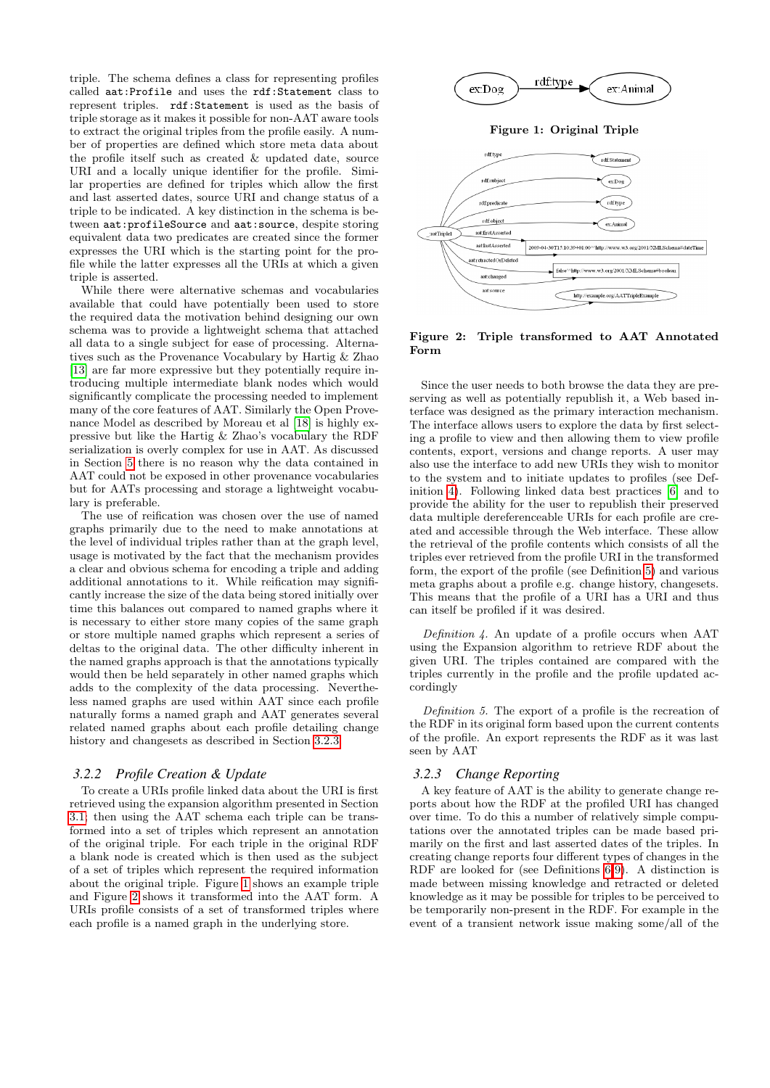triple. The schema defines a class for representing profiles called aat:Profile and uses the rdf:Statement class to represent triples. rdf:Statement is used as the basis of triple storage as it makes it possible for non-AAT aware tools to extract the original triples from the profile easily. A number of properties are defined which store meta data about the profile itself such as created & updated date, source URI and a locally unique identifier for the profile. Similar properties are defined for triples which allow the first and last asserted dates, source URI and change status of a triple to be indicated. A key distinction in the schema is between aat:profileSource and aat:source, despite storing equivalent data two predicates are created since the former expresses the URI which is the starting point for the profile while the latter expresses all the URIs at which a given triple is asserted.

While there were alternative schemas and vocabularies available that could have potentially been used to store the required data the motivation behind designing our own schema was to provide a lightweight schema that attached all data to a single subject for ease of processing. Alternatives such as the Provenance Vocabulary by Hartig & Zhao [\[13\]](#page-9-23) are far more expressive but they potentially require introducing multiple intermediate blank nodes which would significantly complicate the processing needed to implement many of the core features of AAT. Similarly the Open Provenance Model as described by Moreau et al [\[18\]](#page-9-24) is highly expressive but like the Hartig & Zhao's vocabulary the RDF serialization is overly complex for use in AAT. As discussed in Section [5](#page-8-0) there is no reason why the data contained in AAT could not be exposed in other provenance vocabularies but for AATs processing and storage a lightweight vocabulary is preferable.

The use of reification was chosen over the use of named graphs primarily due to the need to make annotations at the level of individual triples rather than at the graph level, usage is motivated by the fact that the mechanism provides a clear and obvious schema for encoding a triple and adding additional annotations to it. While reification may significantly increase the size of the data being stored initially over time this balances out compared to named graphs where it is necessary to either store many copies of the same graph or store multiple named graphs which represent a series of deltas to the original data. The other difficulty inherent in the named graphs approach is that the annotations typically would then be held separately in other named graphs which adds to the complexity of the data processing. Nevertheless named graphs are used within AAT since each profile naturally forms a named graph and AAT generates several related named graphs about each profile detailing change history and changesets as described in Section [3.2.3.](#page-4-0)

#### *3.2.2 Profile Creation & Update*

To create a URIs profile linked data about the URI is first retrieved using the expansion algorithm presented in Section [3.1;](#page-2-0) then using the AAT schema each triple can be transformed into a set of triples which represent an annotation of the original triple. For each triple in the original RDF a blank node is created which is then used as the subject of a set of triples which represent the required information about the original triple. Figure [1](#page-4-1) shows an example triple and Figure [2](#page-4-2) shows it transformed into the AAT form. A URIs profile consists of a set of transformed triples where each profile is a named graph in the underlying store.

<span id="page-4-1"></span>

<span id="page-4-2"></span>Figure 2: Triple transformed to AAT Annotated Form

Since the user needs to both browse the data they are preserving as well as potentially republish it, a Web based interface was designed as the primary interaction mechanism. The interface allows users to explore the data by first selecting a profile to view and then allowing them to view profile contents, export, versions and change reports. A user may also use the interface to add new URIs they wish to monitor to the system and to initiate updates to profiles (see Definition [4\)](#page-4-3). Following linked data best practices [\[6\]](#page-9-25) and to provide the ability for the user to republish their preserved data multiple dereferenceable URIs for each profile are created and accessible through the Web interface. These allow the retrieval of the profile contents which consists of all the triples ever retrieved from the profile URI in the transformed form, the export of the profile (see Definition [5\)](#page-4-4) and various meta graphs about a profile e.g. change history, changesets. This means that the profile of a URI has a URI and thus can itself be profiled if it was desired.

<span id="page-4-3"></span>Definition 4. An update of a profile occurs when AAT using the Expansion algorithm to retrieve RDF about the given URI. The triples contained are compared with the triples currently in the profile and the profile updated accordingly

<span id="page-4-4"></span>Definition 5. The export of a profile is the recreation of the RDF in its original form based upon the current contents of the profile. An export represents the RDF as it was last seen by AAT

### <span id="page-4-0"></span>*3.2.3 Change Reporting*

A key feature of AAT is the ability to generate change reports about how the RDF at the profiled URI has changed over time. To do this a number of relatively simple computations over the annotated triples can be made based primarily on the first and last asserted dates of the triples. In creating change reports four different types of changes in the RDF are looked for (see Definitions [6](#page-5-1)[-9\)](#page-5-2). A distinction is made between missing knowledge and retracted or deleted knowledge as it may be possible for triples to be perceived to be temporarily non-present in the RDF. For example in the event of a transient network issue making some/all of the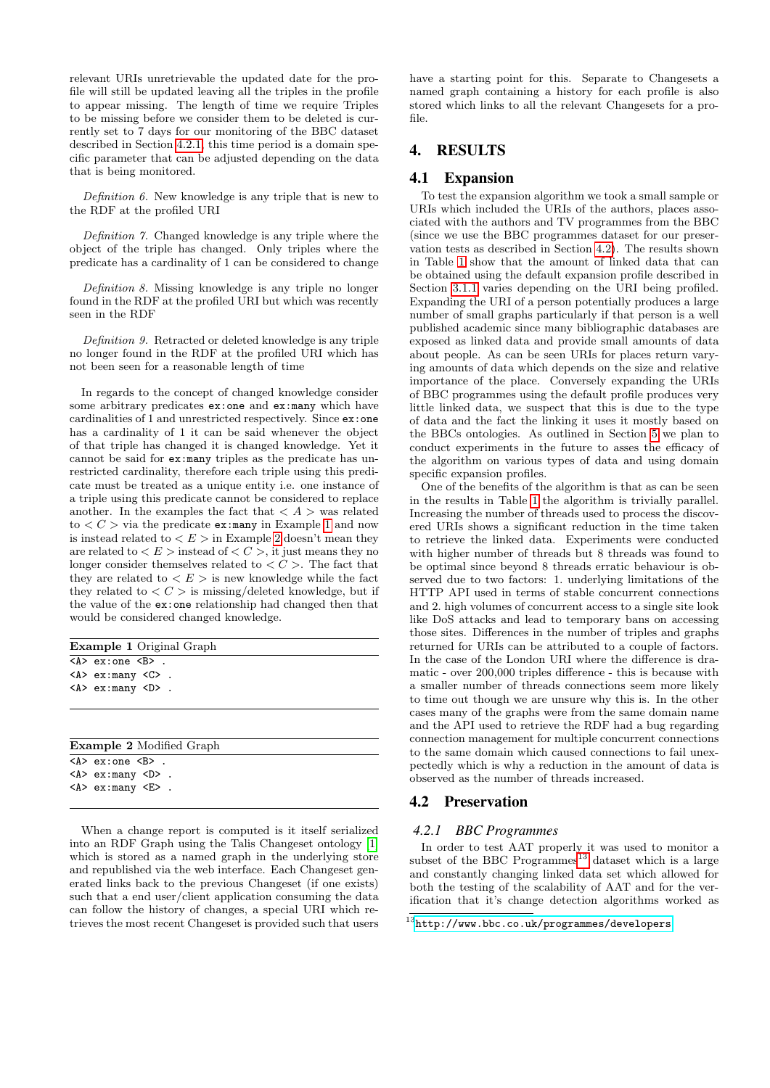relevant URIs unretrievable the updated date for the profile will still be updated leaving all the triples in the profile to appear missing. The length of time we require Triples to be missing before we consider them to be deleted is currently set to 7 days for our monitoring of the BBC dataset described in Section [4.2.1,](#page-5-3) this time period is a domain specific parameter that can be adjusted depending on the data that is being monitored.

<span id="page-5-1"></span>Definition 6. New knowledge is any triple that is new to the RDF at the profiled URI

Definition 7. Changed knowledge is any triple where the object of the triple has changed. Only triples where the predicate has a cardinality of 1 can be considered to change

Definition 8. Missing knowledge is any triple no longer found in the RDF at the profiled URI but which was recently seen in the RDF

<span id="page-5-2"></span>Definition 9. Retracted or deleted knowledge is any triple no longer found in the RDF at the profiled URI which has not been seen for a reasonable length of time

In regards to the concept of changed knowledge consider some arbitrary predicates ex: one and ex: many which have cardinalities of 1 and unrestricted respectively. Since ex:one has a cardinality of 1 it can be said whenever the object of that triple has changed it is changed knowledge. Yet it cannot be said for ex:many triples as the predicate has unrestricted cardinality, therefore each triple using this predicate must be treated as a unique entity i.e. one instance of a triple using this predicate cannot be considered to replace another. In the examples the fact that  $\langle A \rangle$  was related to  $\langle C \rangle$  via the predicate ex: many in Example [1](#page-5-4) and now is instead related to  $\lt E$   $>$  in Example [2](#page-5-5) doesn't mean they are related to  $\lt E$   $>$  instead of  $\lt C$   $>$ , it just means they no longer consider themselves related to  $\lt C$ . The fact that they are related to  $\langle E \rangle$  is new knowledge while the fact they related to  $\langle C \rangle$  is missing/deleted knowledge, but if the value of the ex:one relationship had changed then that would be considered changed knowledge.

<span id="page-5-4"></span>

| <b>Example 1</b> Original Graph                    |  |  |  |  |  |
|----------------------------------------------------|--|--|--|--|--|
| $\langle A \rangle$ ex: one $\langle B \rangle$ .  |  |  |  |  |  |
| $\langle A \rangle$ ex: many $\langle C \rangle$ . |  |  |  |  |  |
| $\langle A \rangle$ ex: many $\langle D \rangle$ . |  |  |  |  |  |
|                                                    |  |  |  |  |  |
|                                                    |  |  |  |  |  |
|                                                    |  |  |  |  |  |
| <b>Example 2</b> Modified Graph                    |  |  |  |  |  |
| $\langle A \rangle$ ex: one $\langle B \rangle$ .  |  |  |  |  |  |
| $\langle A \rangle$ ex: many $\langle D \rangle$ . |  |  |  |  |  |
| $\langle A \rangle$ ex: many $\langle E \rangle$ . |  |  |  |  |  |

<span id="page-5-5"></span>When a change report is computed is it itself serialized into an RDF Graph using the Talis Changeset ontology [\[1\]](#page-8-2) which is stored as a named graph in the underlying store and republished via the web interface. Each Changeset generated links back to the previous Changeset (if one exists) such that a end user/client application consuming the data can follow the history of changes, a special URI which retrieves the most recent Changeset is provided such that users have a starting point for this. Separate to Changesets a named graph containing a history for each profile is also stored which links to all the relevant Changesets for a profile.

# <span id="page-5-0"></span>4. RESULTS

## <span id="page-5-8"></span>4.1 Expansion

To test the expansion algorithm we took a small sample or URIs which included the URIs of the authors, places associated with the authors and TV programmes from the BBC (since we use the BBC programmes dataset for our preservation tests as described in Section [4.2\)](#page-5-6). The results shown in Table [1](#page-6-0) show that the amount of linked data that can be obtained using the default expansion profile described in Section [3.1.1](#page-3-11) varies depending on the URI being profiled. Expanding the URI of a person potentially produces a large number of small graphs particularly if that person is a well published academic since many bibliographic databases are exposed as linked data and provide small amounts of data about people. As can be seen URIs for places return varying amounts of data which depends on the size and relative importance of the place. Conversely expanding the URIs of BBC programmes using the default profile produces very little linked data, we suspect that this is due to the type of data and the fact the linking it uses it mostly based on the BBCs ontologies. As outlined in Section [5](#page-8-0) we plan to conduct experiments in the future to asses the efficacy of the algorithm on various types of data and using domain specific expansion profiles.

One of the benefits of the algorithm is that as can be seen in the results in Table [1](#page-6-0) the algorithm is trivially parallel. Increasing the number of threads used to process the discovered URIs shows a significant reduction in the time taken to retrieve the linked data. Experiments were conducted with higher number of threads but 8 threads was found to be optimal since beyond 8 threads erratic behaviour is observed due to two factors: 1. underlying limitations of the HTTP API used in terms of stable concurrent connections and 2. high volumes of concurrent access to a single site look like DoS attacks and lead to temporary bans on accessing those sites. Differences in the number of triples and graphs returned for URIs can be attributed to a couple of factors. In the case of the London URI where the difference is dramatic - over 200,000 triples difference - this is because with a smaller number of threads connections seem more likely to time out though we are unsure why this is. In the other cases many of the graphs were from the same domain name and the API used to retrieve the RDF had a bug regarding connection management for multiple concurrent connections to the same domain which caused connections to fail unexpectedly which is why a reduction in the amount of data is observed as the number of threads increased.

# <span id="page-5-6"></span>4.2 Preservation

## <span id="page-5-3"></span>*4.2.1 BBC Programmes*

In order to test AAT properly it was used to monitor a subset of the BBC Programmes<sup>[13](#page-5-7)</sup> dataset which is a large and constantly changing linked data set which allowed for both the testing of the scalability of AAT and for the verification that it's change detection algorithms worked as

<span id="page-5-7"></span> $^{13}$ <http://www.bbc.co.uk/programmes/developers>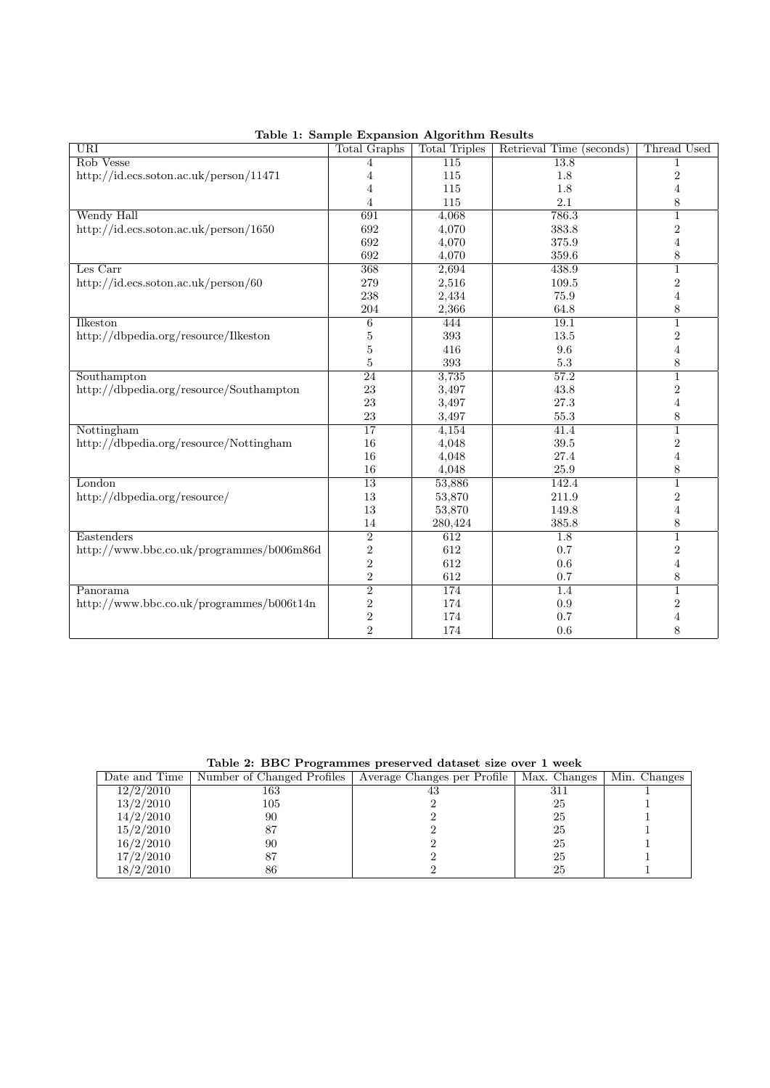<span id="page-6-0"></span>

| <b>URI</b>                               | <b>Total Graphs</b>     | <b>Total Triples</b> | Retrieval Time (seconds) | Thread Used      |
|------------------------------------------|-------------------------|----------------------|--------------------------|------------------|
| Rob Vesse                                | 4                       | 115                  | 13.8                     |                  |
| http://id.ecs.soton.ac.uk/person/11471   | 4                       | 115                  | 1.8                      | $\sqrt{2}$       |
|                                          | 4                       | 115                  | 1.8                      | $\overline{4}$   |
|                                          | $\overline{4}$          | 115                  | 2.1                      | $\,8\,$          |
| Wendy Hall                               | 691                     | 4,068                | 786.3                    | $\mathbf{1}$     |
| http://id.ecs.soton.ac.uk/person/1650    | 692                     | 4,070                | 383.8                    | $\boldsymbol{2}$ |
|                                          | 692                     | 4,070                | 375.9                    | $\overline{4}$   |
|                                          | 692                     | 4,070                | 359.6                    | 8                |
| Les Carr                                 | 368                     | 2,694                | 438.9                    | $\mathbf{1}$     |
| http://id.ecs.soton.ac.uk/person/60      | 279                     | 2,516                | 109.5                    | $\boldsymbol{2}$ |
|                                          | 238                     | 2,434                | 75.9                     | $\overline{4}$   |
|                                          | 204                     | 2,366                | 64.8                     | $8\,$            |
| Ilkeston                                 | 6                       | 444                  | 19.1                     | $\mathbf{1}$     |
| http://dbpedia.org/resource/Ilkeston     | 5                       | $393\,$              | 13.5                     | $\boldsymbol{2}$ |
|                                          | 5                       | 416                  | 9.6                      | $\overline{4}$   |
|                                          | 5                       | 393                  | $5.3\,$                  | 8                |
| Southampton                              | 24                      | 3,735                | 57.2                     | $\mathbf 1$      |
| http://dbpedia.org/resource/Southampton  | 23                      | 3,497                | 43.8                     | $\sqrt{2}$       |
|                                          | 23                      | 3,497                | $27.3\,$                 | $\,4\,$          |
|                                          | 23                      | 3,497                | 55.3                     | 8                |
| Nottingham                               | $\overline{17}$         | 4,154                | 41.4                     | $\mathbf{1}$     |
| http://dbpedia.org/resource/Nottingham   | 16                      | 4,048                | 39.5                     | $\boldsymbol{2}$ |
|                                          | 16                      | 4,048                | 27.4                     | $\,4\,$          |
|                                          | 16                      | 4,048                | 25.9                     | 8                |
| London                                   | $\overline{13}$         | 53,886               | 142.4                    | $\mathbf 1$      |
| http://dbpedia.org/resource/             | 13                      | 53,870               | 211.9                    | $\boldsymbol{2}$ |
|                                          | 13                      | 53,870               | 149.8                    | $\,4\,$          |
|                                          | 14                      | 280,424              | 385.8                    | 8                |
| Eastenders                               | $\overline{2}$          | 612                  | 1.8                      | $\overline{1}$   |
| http://www.bbc.co.uk/programmes/b006m86d | $\overline{2}$          | 612                  | $0.7\,$                  | $\sqrt{2}$       |
|                                          | $\overline{2}$          | 612                  | 0.6                      | $\,4\,$          |
|                                          | $\overline{2}$          | $612\,$              | 0.7                      | $\,8\,$          |
| Panorama                                 | $\overline{2}$          | 174                  | 1.4                      | $\mathbf{1}$     |
| http://www.bbc.co.uk/programmes/b006t14n | $\overline{\mathbf{c}}$ | 174                  | 0.9                      | $\sqrt{2}$       |
|                                          | $\overline{2}$          | 174                  | 0.7                      | $\overline{4}$   |
|                                          | $\overline{2}$          | 174                  | 0.6                      | 8                |

Table 1: Sample Expansion Algorithm Results

Table 2: BBC Programmes preserved dataset size over 1 week

<span id="page-6-1"></span>

| Lable 2. DDC 110grammes preserved dataset size over 1 week |     |                                                                         |     |              |  |  |  |  |  |
|------------------------------------------------------------|-----|-------------------------------------------------------------------------|-----|--------------|--|--|--|--|--|
| Date and Time                                              |     | Number of Changed Profiles   Average Changes per Profile   Max. Changes |     | Min. Changes |  |  |  |  |  |
| 12/2/2010                                                  | 163 | 43                                                                      | 311 |              |  |  |  |  |  |
| 13/2/2010                                                  | 105 |                                                                         | 25  |              |  |  |  |  |  |
| 14/2/2010                                                  | 90  |                                                                         | 25  |              |  |  |  |  |  |
| 15/2/2010                                                  |     |                                                                         | 25  |              |  |  |  |  |  |
| 16/2/2010                                                  | 90  |                                                                         | 25  |              |  |  |  |  |  |
| 17/2/2010                                                  |     |                                                                         | 25  |              |  |  |  |  |  |
| 18/2/2010                                                  | 86  |                                                                         | 25  |              |  |  |  |  |  |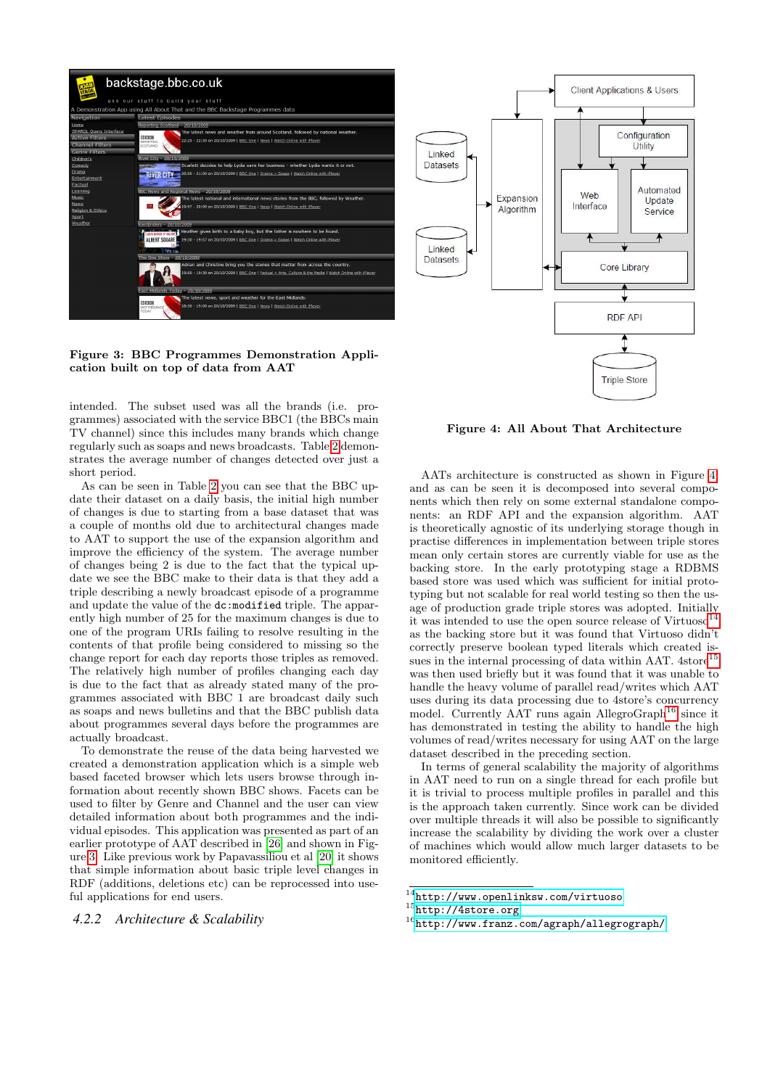

<span id="page-7-0"></span>Figure 3: BBC Programmes Demonstration Application built on top of data from AAT

intended. The subset used was all the brands (i.e. programmes) associated with the service BBC1 (the BBCs main TV channel) since this includes many brands which change regularly such as soaps and news broadcasts. Table [2](#page-6-1) demonstrates the average number of changes detected over just a short period.

As can be seen in Table [2](#page-6-1) you can see that the BBC update their dataset on a daily basis, the initial high number of changes is due to starting from a base dataset that was a couple of months old due to architectural changes made to AAT to support the use of the expansion algorithm and improve the efficiency of the system. The average number of changes being 2 is due to the fact that the typical update we see the BBC make to their data is that they add a triple describing a newly broadcast episode of a programme and update the value of the dc:modified triple. The apparently high number of 25 for the maximum changes is due to one of the program URIs failing to resolve resulting in the contents of that profile being considered to missing so the change report for each day reports those triples as removed. The relatively high number of profiles changing each day is due to the fact that as already stated many of the programmes associated with BBC 1 are broadcast daily such as soaps and news bulletins and that the BBC publish data about programmes several days before the programmes are actually broadcast.

To demonstrate the reuse of the data being harvested we created a demonstration application which is a simple web based faceted browser which lets users browse through information about recently shown BBC shows. Facets can be used to filter by Genre and Channel and the user can view detailed information about both programmes and the individual episodes. This application was presented as part of an earlier prototype of AAT described in [\[26\]](#page-9-26) and shown in Figure [3.](#page-7-0) Like previous work by Papavassiliou et al [\[20\]](#page-9-15) it shows that simple information about basic triple level changes in RDF (additions, deletions etc) can be reprocessed into useful applications for end users.

*4.2.2 Architecture & Scalability*



<span id="page-7-1"></span>Figure 4: All About That Architecture

AATs architecture is constructed as shown in Figure [4,](#page-7-1) and as can be seen it is decomposed into several components which then rely on some external standalone components: an RDF API and the expansion algorithm. AAT is theoretically agnostic of its underlying storage though in practise differences in implementation between triple stores mean only certain stores are currently viable for use as the backing store. In the early prototyping stage a RDBMS based store was used which was sufficient for initial prototyping but not scalable for real world testing so then the usage of production grade triple stores was adopted. Initially it was intended to use the open source release of Virtuoso<sup>[14](#page-7-2)</sup> as the backing store but it was found that Virtuoso didn't correctly preserve boolean typed literals which created issues in the internal processing of data within AAT.  $4\text{store}^{15}$  $4\text{store}^{15}$  $4\text{store}^{15}$ was then used briefly but it was found that it was unable to handle the heavy volume of parallel read/writes which AAT uses during its data processing due to 4store's concurrency model. Currently AAT runs again AllegroGraph<sup>[16](#page-7-4)</sup> since it has demonstrated in testing the ability to handle the high volumes of read/writes necessary for using AAT on the large dataset described in the preceding section.

In terms of general scalability the majority of algorithms in AAT need to run on a single thread for each profile but it is trivial to process multiple profiles in parallel and this is the approach taken currently. Since work can be divided over multiple threads it will also be possible to significantly increase the scalability by dividing the work over a cluster of machines which would allow much larger datasets to be monitored efficiently.

<span id="page-7-2"></span> $14$ <http://www.openlinksw.com/virtuoso>

<span id="page-7-3"></span> $15$ <http://4store.org>

<span id="page-7-4"></span><sup>16</sup><http://www.franz.com/agraph/allegrograph/>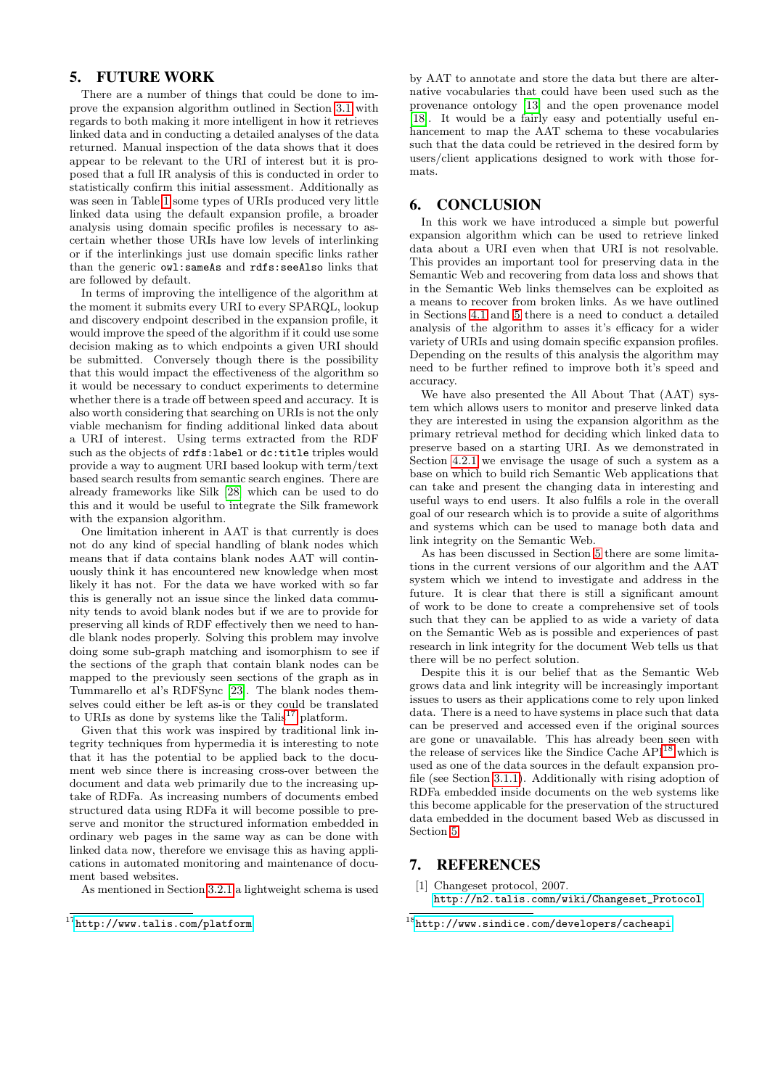# <span id="page-8-0"></span>5. FUTURE WORK

There are a number of things that could be done to improve the expansion algorithm outlined in Section [3.1](#page-2-0) with regards to both making it more intelligent in how it retrieves linked data and in conducting a detailed analyses of the data returned. Manual inspection of the data shows that it does appear to be relevant to the URI of interest but it is proposed that a full IR analysis of this is conducted in order to statistically confirm this initial assessment. Additionally as was seen in Table [1](#page-6-0) some types of URIs produced very little linked data using the default expansion profile, a broader analysis using domain specific profiles is necessary to ascertain whether those URIs have low levels of interlinking or if the interlinkings just use domain specific links rather than the generic owl:sameAs and rdfs:seeAlso links that are followed by default.

In terms of improving the intelligence of the algorithm at the moment it submits every URI to every SPARQL, lookup and discovery endpoint described in the expansion profile, it would improve the speed of the algorithm if it could use some decision making as to which endpoints a given URI should be submitted. Conversely though there is the possibility that this would impact the effectiveness of the algorithm so it would be necessary to conduct experiments to determine whether there is a trade off between speed and accuracy. It is also worth considering that searching on URIs is not the only viable mechanism for finding additional linked data about a URI of interest. Using terms extracted from the RDF such as the objects of rdfs:label or dc:title triples would provide a way to augment URI based lookup with term/text based search results from semantic search engines. There are already frameworks like Silk [\[28\]](#page-9-18) which can be used to do this and it would be useful to integrate the Silk framework with the expansion algorithm.

One limitation inherent in AAT is that currently is does not do any kind of special handling of blank nodes which means that if data contains blank nodes AAT will continuously think it has encountered new knowledge when most likely it has not. For the data we have worked with so far this is generally not an issue since the linked data community tends to avoid blank nodes but if we are to provide for preserving all kinds of RDF effectively then we need to handle blank nodes properly. Solving this problem may involve doing some sub-graph matching and isomorphism to see if the sections of the graph that contain blank nodes can be mapped to the previously seen sections of the graph as in Tummarello et al's RDFSync [\[23\]](#page-9-14). The blank nodes themselves could either be left as-is or they could be translated to URIs as done by systems like the Talis<sup>[17](#page-8-3)</sup> platform.

Given that this work was inspired by traditional link integrity techniques from hypermedia it is interesting to note that it has the potential to be applied back to the document web since there is increasing cross-over between the document and data web primarily due to the increasing uptake of RDFa. As increasing numbers of documents embed structured data using RDFa it will become possible to preserve and monitor the structured information embedded in ordinary web pages in the same way as can be done with linked data now, therefore we envisage this as having applications in automated monitoring and maintenance of document based websites.

As mentioned in Section [3.2.1](#page-3-1) a lightweight schema is used

by AAT to annotate and store the data but there are alternative vocabularies that could have been used such as the provenance ontology [\[13\]](#page-9-23) and the open provenance model [\[18\]](#page-9-24). It would be a fairly easy and potentially useful enhancement to map the AAT schema to these vocabularies such that the data could be retrieved in the desired form by users/client applications designed to work with those formats.

## <span id="page-8-1"></span>6. CONCLUSION

In this work we have introduced a simple but powerful expansion algorithm which can be used to retrieve linked data about a URI even when that URI is not resolvable. This provides an important tool for preserving data in the Semantic Web and recovering from data loss and shows that in the Semantic Web links themselves can be exploited as a means to recover from broken links. As we have outlined in Sections [4.1](#page-5-8) and [5](#page-8-0) there is a need to conduct a detailed analysis of the algorithm to asses it's efficacy for a wider variety of URIs and using domain specific expansion profiles. Depending on the results of this analysis the algorithm may need to be further refined to improve both it's speed and accuracy.

We have also presented the All About That (AAT) system which allows users to monitor and preserve linked data they are interested in using the expansion algorithm as the primary retrieval method for deciding which linked data to preserve based on a starting URI. As we demonstrated in Section [4.2.1](#page-5-3) we envisage the usage of such a system as a base on which to build rich Semantic Web applications that can take and present the changing data in interesting and useful ways to end users. It also fulfils a role in the overall goal of our research which is to provide a suite of algorithms and systems which can be used to manage both data and link integrity on the Semantic Web.

As has been discussed in Section [5](#page-8-0) there are some limitations in the current versions of our algorithm and the AAT system which we intend to investigate and address in the future. It is clear that there is still a significant amount of work to be done to create a comprehensive set of tools such that they can be applied to as wide a variety of data on the Semantic Web as is possible and experiences of past research in link integrity for the document Web tells us that there will be no perfect solution.

Despite this it is our belief that as the Semantic Web grows data and link integrity will be increasingly important issues to users as their applications come to rely upon linked data. There is a need to have systems in place such that data can be preserved and accessed even if the original sources are gone or unavailable. This has already been seen with the release of services like the Sindice Cache  $\rm{API}^{18}$  $\rm{API}^{18}$  $\rm{API}^{18}$  which is used as one of the data sources in the default expansion profile (see Section [3.1.1\)](#page-3-11). Additionally with rising adoption of RDFa embedded inside documents on the web systems like this become applicable for the preservation of the structured data embedded in the document based Web as discussed in Section [5.](#page-8-0)

#### 7. REFERENCES

<span id="page-8-3"></span> $^{17}$ <http://www.talis.com/platform>

<span id="page-8-2"></span><sup>[1]</sup> Changeset protocol, 2007. [http://n2.talis.comn/wiki/Changeset\\_Protocol](http://n2.talis.comn/wiki/Changeset_Protocol).

<span id="page-8-4"></span> $^{18}$ <http://www.sindice.com/developers/cacheapi>